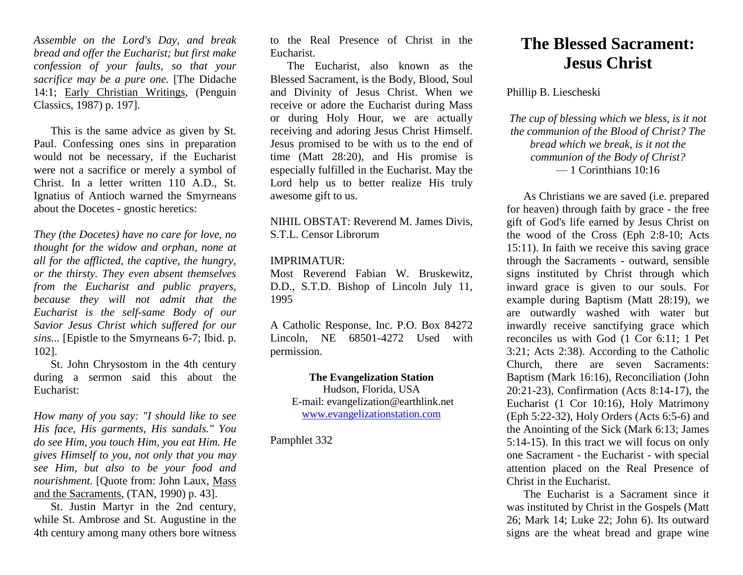*Assemble on the Lord's Day, and break bread and offer the Eucharist; but first make confession of your faults, so that your sacrifice may be a pure one.* [The Didache 14:1; Early Christian Writings, (Penguin Classics, 1987) p. 197].

This is the same advice as given by St. Paul. Confessing ones sins in preparation would not be necessary, if the Eucharist were not a sacrifice or merely a symbol of Christ. In a letter written 110 A.D., St. Ignatius of Antioch warned the Smyrneans about the Docetes - gnostic heretics:

*They (the Docetes) have no care for love, no thought for the widow and orphan, none at all for the afflicted, the captive, the hungry, or the thirsty. They even absent themselves from the Eucharist and public prayers, because they will not admit that the Eucharist is the self-same Body of our Savior Jesus Christ which suffered for our sins...* [Epistle to the Smyrneans 6-7; Ibid. p. 102].

St. John Chrysostom in the 4th century during a sermon said this about the Eucharist:

*How many of you say: "I should like to see His face, His garments, His sandals." You do see Him, you touch Him, you eat Him. He gives Himself to you, not only that you may see Him, but also to be your food and nourishment.* [Quote from: John Laux, Mass and the Sacraments, (TAN, 1990) p. 43].

St. Justin Martyr in the 2nd century, while St. Ambrose and St. Augustine in the 4th century among many others bore witness to the Real Presence of Christ in the Eucharist.

The Eucharist, also known as the Blessed Sacrament, is the Body, Blood, Soul and Divinity of Jesus Christ. When we receive or adore the Eucharist during Mass or during Holy Hour, we are actually receiving and adoring Jesus Christ Himself. Jesus promised to be with us to the end of time (Matt 28:20), and His promise is especially fulfilled in the Eucharist. May the Lord help us to better realize His truly awesome gift to us.

NIHIL OBSTAT: Reverend M. James Divis, S.T.L. Censor Librorum

## IMPRIMATUR:

Most Reverend Fabian W. Bruskewitz, D.D., S.T.D. Bishop of Lincoln July 11, 1995

A Catholic Response, Inc. P.O. Box 84272 Lincoln, NE 68501-4272 Used with permission.

## **The Evangelization Station**

Hudson, Florida, USA E-mail: evangelization@earthlink.net [www.evangelizationstation.com](http://www.pjpiisoe.org/)

Pamphlet 332

## **The Blessed Sacrament: Jesus Christ**

Phillip B. Liescheski

*The cup of blessing which we bless, is it not the communion of the Blood of Christ? The bread which we break, is it not the communion of the Body of Christ?* — 1 Corinthians 10:16

As Christians we are saved (i.e. prepared for heaven) through faith by grace - the free gift of God's life earned by Jesus Christ on the wood of the Cross (Eph 2:8-10; Acts 15:11). In faith we receive this saving grace through the Sacraments - outward, sensible signs instituted by Christ through which inward grace is given to our souls. For example during Baptism (Matt 28:19), we are outwardly washed with water but inwardly receive sanctifying grace which reconciles us with God (1 Cor 6:11; 1 Pet 3:21; Acts 2:38). According to the Catholic Church, there are seven Sacraments: Baptism (Mark 16:16), Reconciliation (John 20:21-23), Confirmation (Acts 8:14-17), the Eucharist (1 Cor 10:16), Holy Matrimony (Eph 5:22-32), Holy Orders (Acts 6:5-6) and the Anointing of the Sick (Mark 6:13; James 5:14-15). In this tract we will focus on only one Sacrament - the Eucharist - with special attention placed on the Real Presence of Christ in the Eucharist.

The Eucharist is a Sacrament since it was instituted by Christ in the Gospels (Matt 26; Mark 14; Luke 22; John 6). Its outward signs are the wheat bread and grape wine